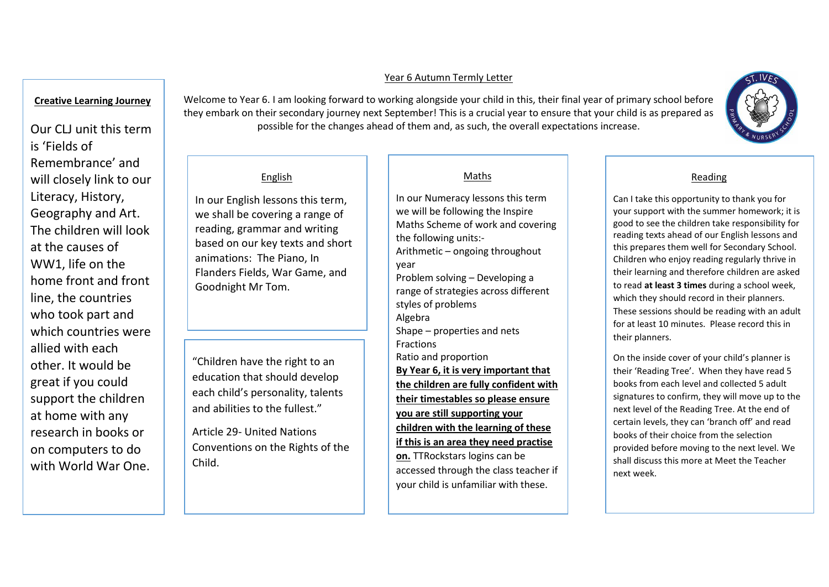### Year 6 Autumn Termly Letter

# **Creative Learning Journey**

Our CLJ unit this term is 'Fields of Remembrance' and will closely link to our Literacy, History, Geography and Art. The children will look at the causes of WW1, life on the home front and front line, the countries who took part and which countries were allied with each other. It would be great if you could support the children at home with any research in books or on computers to do with World War One.

Welcome to Year 6. I am looking forward to working alongside your child in this, their final year of primary school before they embark on their secondary journey next September! This is a crucial year to ensure that your child is as prepared as possible for the changes ahead of them and, as such, the overall expectations increase.

# English

In our English lessons this term, we shall be covering a range of reading, grammar and writing based on our key texts and short animations: The Piano, In Flanders Fields, War Game, and Goodnight Mr Tom.

"Children have the right to an education that should develop each child's personality, talents and abilities to the fullest."

Article 29- United Nations Conventions on the Rights of the Child.

# Maths

In our Numeracy lessons this term we will be following the Inspire Maths Scheme of work and covering the following units:- Arithmetic – ongoing throughout year Problem solving – Developing a range of strategies across different styles of problems Algebra Shape – properties and nets **Fractions** Ratio and proportion **By Year 6, it is very important that the children are fully confident with their timestables so please ensure you are still supporting your children with the learning of these if this is an area they need practise** 

**on.** TTRockstars logins can be accessed through the class teacher if your child is unfamiliar with these.

# Reading

Can I take this opportunity to thank you for your support with the summer homework; it is good to see the children take responsibility for reading texts ahead of our English lessons and this prepares them well for Secondary School. Children who enjoy reading regularly thrive in their learning and therefore children are asked to read **at least 3 times** during a school week, which they should record in their planners. These sessions should be reading with an adult for at least 10 minutes. Please record this in their planners.

On the inside cover of your child's planner is their 'Reading Tree'. When they have read 5 books from each level and collected 5 adult signatures to confirm, they will move up to the next level of the Reading Tree. At the end of certain levels, they can 'branch off' and read books of their choice from the selection provided before moving to the next level. We shall discuss this more at Meet the Teacher next week.